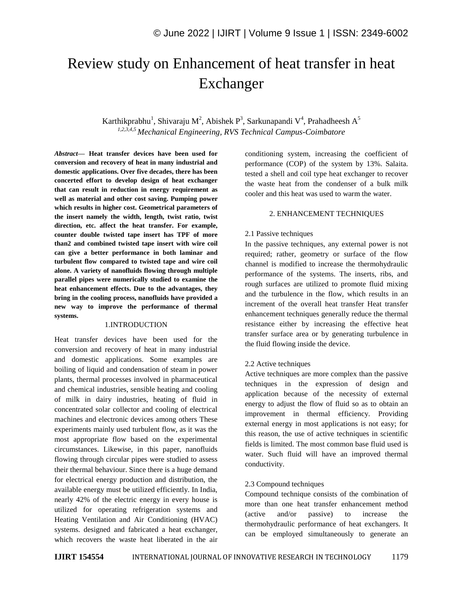# Review study on Enhancement of heat transfer in heat Exchanger

Karthikprabhu<sup>1</sup>, Shivaraju M<sup>2</sup>, Abishek P<sup>3</sup>, Sarkunapandi V<sup>4</sup>, Prahadheesh A<sup>5</sup> *1,2,3,4,5 Mechanical Engineering, RVS Technical Campus-Coimbatore*

*Abstract—* **Heat transfer devices have been used for conversion and recovery of heat in many industrial and domestic applications. Over five decades, there has been concerted effort to develop design of heat exchanger that can result in reduction in energy requirement as well as material and other cost saving. Pumping power which results in higher cost. Geometrical parameters of the insert namely the width, length, twist ratio, twist direction, etc. affect the heat transfer. For example, counter double twisted tape insert has TPF of more than2 and combined twisted tape insert with wire coil can give a better performance in both laminar and turbulent flow compared to twisted tape and wire coil alone. A variety of nanofluids flowing through multiple parallel pipes were numerically studied to examine the heat enhancement effects. Due to the advantages, they bring in the cooling process, nanofluids have provided a new way to improve the performance of thermal systems.**

### 1.INTRODUCTION

Heat transfer devices have been used for the conversion and recovery of heat in many industrial and domestic applications. Some examples are boiling of liquid and condensation of steam in power plants, thermal processes involved in pharmaceutical and chemical industries, sensible heating and cooling of milk in dairy industries, heating of fluid in concentrated solar collector and cooling of electrical machines and electronic devices among others These experiments mainly used turbulent flow, as it was the most appropriate flow based on the experimental circumstances. Likewise, in this paper, nanofluids flowing through circular pipes were studied to assess their thermal behaviour. Since there is a huge demand for electrical energy production and distribution, the available energy must be utilized efficiently. In India, nearly 42% of the electric energy in every house is utilized for operating refrigeration systems and Heating Ventilation and Air Conditioning (HVAC) systems. designed and fabricated a heat exchanger, which recovers the waste heat liberated in the air conditioning system, increasing the coefficient of performance (COP) of the system by 13%. Salaita. tested a shell and coil type heat exchanger to recover the waste heat from the condenser of a bulk milk cooler and this heat was used to warm the water.

#### 2. ENHANCEMENT TECHNIQUES

#### 2.1 Passive techniques

In the passive techniques, any external power is not required; rather, geometry or surface of the flow channel is modified to increase the thermohydraulic performance of the systems. The inserts, ribs, and rough surfaces are utilized to promote fluid mixing and the turbulence in the flow, which results in an increment of the overall heat transfer Heat transfer enhancement techniques generally reduce the thermal resistance either by increasing the effective heat transfer surface area or by generating turbulence in the fluid flowing inside the device.

#### 2.2 Active techniques

Active techniques are more complex than the passive techniques in the expression of design and application because of the necessity of external energy to adjust the flow of fluid so as to obtain an improvement in thermal efficiency. Providing external energy in most applications is not easy; for this reason, the use of active techniques in scientific fields is limited. The most common base fluid used is water. Such fluid will have an improved thermal conductivity.

#### 2.3 Compound techniques

Compound technique consists of the combination of more than one heat transfer enhancement method (active and/or passive) to increase the thermohydraulic performance of heat exchangers. It can be employed simultaneously to generate an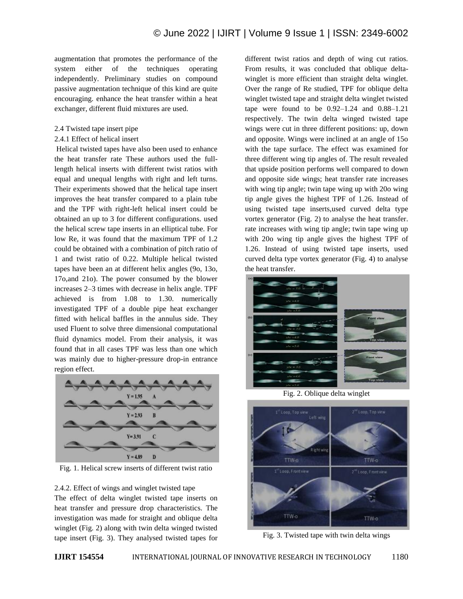augmentation that promotes the performance of the system either of the techniques operating independently. Preliminary studies on compound passive augmentation technique of this kind are quite encouraging. enhance the heat transfer within a heat exchanger, different fluid mixtures are used.

- 2.4 Twisted tape insert pipe
- 2.4.1 Effect of helical insert

Helical twisted tapes have also been used to enhance the heat transfer rate These authors used the fulllength helical inserts with different twist ratios with equal and unequal lengths with right and left turns. Their experiments showed that the helical tape insert improves the heat transfer compared to a plain tube and the TPF with right-left helical insert could be obtained an up to 3 for different configurations. used the helical screw tape inserts in an elliptical tube. For low Re, it was found that the maximum TPF of 1.2 could be obtained with a combination of pitch ratio of 1 and twist ratio of 0.22. Multiple helical twisted tapes have been an at different helix angles (9o, 13o, 17o,and 21o). The power consumed by the blower increases 2–3 times with decrease in helix angle. TPF achieved is from 1.08 to 1.30. numerically investigated TPF of a double pipe heat exchanger fitted with helical baffles in the annulus side. They used Fluent to solve three dimensional computational fluid dynamics model. From their analysis, it was found that in all cases TPF was less than one which was mainly due to higher-pressure drop-in entrance region effect.



Fig. 1. Helical screw inserts of different twist ratio

2.4.2. Effect of wings and winglet twisted tape The effect of delta winglet twisted tape inserts on heat transfer and pressure drop characteristics. The investigation was made for straight and oblique delta winglet (Fig. 2) along with twin delta winged twisted tape insert (Fig. 3). They analysed twisted tapes for different twist ratios and depth of wing cut ratios. From results, it was concluded that oblique deltawinglet is more efficient than straight delta winglet. Over the range of Re studied, TPF for oblique delta winglet twisted tape and straight delta winglet twisted tape were found to be  $0.92-1.24$  and  $0.88-1.21$ respectively. The twin delta winged twisted tape wings were cut in three different positions: up, down and opposite. Wings were inclined at an angle of 15o with the tape surface. The effect was examined for three different wing tip angles of. The result revealed that upside position performs well compared to down and opposite side wings; heat transfer rate increases with wing tip angle; twin tape wing up with 20o wing tip angle gives the highest TPF of 1.26. Instead of using twisted tape inserts,used curved delta type vortex generator (Fig. 2) to analyse the heat transfer. rate increases with wing tip angle; twin tape wing up with 20o wing tip angle gives the highest TPF of 1.26. Instead of using twisted tape inserts, used curved delta type vortex generator (Fig. 4) to analyse the heat transfer.



Fig. 2. Oblique delta winglet



Fig. 3. Twisted tape with twin delta wings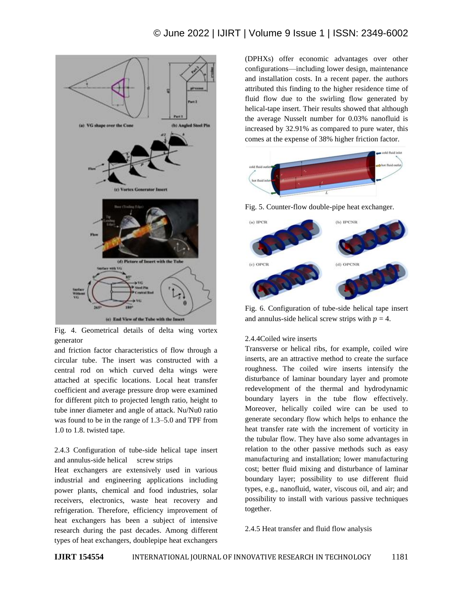## © June 2022 | IJIRT | Volume 9 Issue 1 | ISSN: 2349-6002



Fig. 4. Geometrical details of delta wing vortex generator

and friction factor characteristics of flow through a circular tube. The insert was constructed with a central rod on which curved delta wings were attached at specific locations. Local heat transfer coefficient and average pressure drop were examined for different pitch to projected length ratio, height to tube inner diameter and angle of attack. Nu/Nu0 ratio was found to be in the range of 1.3–5.0 and TPF from 1.0 to 1.8. twisted tape.

2.4.3 Configuration of tube-side helical tape insert and annulus-side helical screw strips

Heat exchangers are extensively used in various industrial and engineering applications including power plants, chemical and food industries, solar receivers, electronics, waste heat recovery and refrigeration. Therefore, efficiency improvement of heat exchangers has been a subject of intensive research during the past decades. Among different types of heat exchangers, doublepipe heat exchangers

(DPHXs) offer economic advantages over other configurations—including lower design, maintenance and installation costs. In a recent paper. the authors attributed this finding to the higher residence time of fluid flow due to the swirling flow generated by helical-tape insert. Their results showed that although the average Nusselt number for 0.03% nanofluid is increased by 32.91% as compared to pure water, this comes at the expense of 38% higher friction factor.



Fig. 5. Counter-flow double-pipe heat exchanger.



Fig. 6. Configuration of tube-side helical tape insert and annulus-side helical screw strips with  $p = 4$ .

#### 2.4.4Coiled wire inserts

Transverse or helical ribs, for example, coiled wire inserts, are an attractive method to create the surface roughness. The coiled wire inserts intensify the disturbance of laminar boundary layer and promote redevelopment of the thermal and hydrodynamic boundary layers in the tube flow effectively. Moreover, helically coiled wire can be used to generate secondary flow which helps to enhance the heat transfer rate with the increment of vorticity in the tubular flow. They have also some advantages in relation to the other passive methods such as easy manufacturing and installation; lower manufacturing cost; better fluid mixing and disturbance of laminar boundary layer; possibility to use different fluid types, e.g., nanofluid, water, viscous oil, and air; and possibility to install with various passive techniques together.

2.4.5 Heat transfer and fluid flow analysis